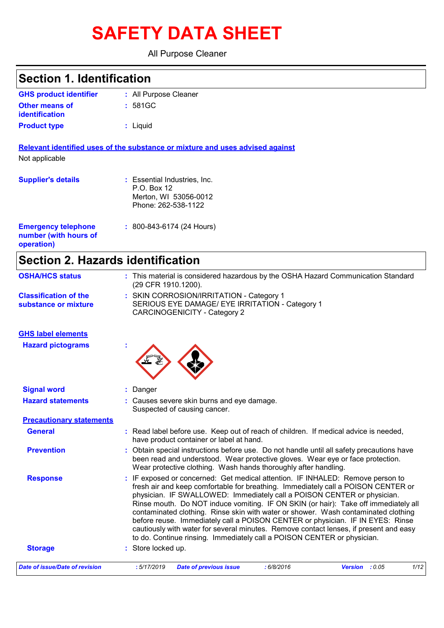# **SAFETY DATA SHEET**

All Purpose Cleaner

| <b>Section 1. Identification</b>                                  |                                                                                                                                                                           |
|-------------------------------------------------------------------|---------------------------------------------------------------------------------------------------------------------------------------------------------------------------|
| <b>GHS product identifier</b>                                     | : All Purpose Cleaner                                                                                                                                                     |
| <b>Other means of</b><br>identification                           | : 581GC                                                                                                                                                                   |
| <b>Product type</b>                                               | : Liquid                                                                                                                                                                  |
|                                                                   | Relevant identified uses of the substance or mixture and uses advised against                                                                                             |
| Not applicable                                                    |                                                                                                                                                                           |
| <b>Supplier's details</b>                                         | : Essential Industries, Inc.<br>P.O. Box 12                                                                                                                               |
|                                                                   | Merton, WI 53056-0012                                                                                                                                                     |
|                                                                   | Phone: 262-538-1122                                                                                                                                                       |
| <b>Emergency telephone</b><br>number (with hours of<br>operation) | : 800-843-6174 (24 Hours)                                                                                                                                                 |
| <b>Section 2. Hazards identification</b>                          |                                                                                                                                                                           |
| <b>OSHA/HCS status</b>                                            | : This material is considered hazardous by the OSHA Hazard Communication Standard<br>(29 CFR 1910.1200).                                                                  |
| <b>Classification of the</b><br>substance or mixture              | : SKIN CORROSION/IRRITATION - Category 1<br>SERIOUS EYE DAMAGE/ EYE IRRITATION - Category 1<br><b>CARCINOGENICITY - Category 2</b>                                        |
| <b>GHS label elements</b>                                         |                                                                                                                                                                           |
| <b>Hazard pictograms</b>                                          |                                                                                                                                                                           |
| <b>Signal word</b>                                                | Danger                                                                                                                                                                    |
| <b>Hazard statements</b>                                          | Causes severe skin burns and eye damage.<br>Suspected of causing cancer.                                                                                                  |
| <b>Precautionary statements</b>                                   |                                                                                                                                                                           |
| <b>General</b>                                                    | : Read label before use. Keep out of reach of children. If medical advice is needed,<br>have product container or label at hand.                                          |
| <b>Prevention</b>                                                 | Obtain special instructions before use. Do not handle until all safety precautions have<br>been read and understood. Wear protective gloves. Wear eye or face protection. |

Wear protective clothing. Wash hands thoroughly after handling. **Response :** IF exposed or concerned: Get medical attention. IF INHALED: Remove person to fresh air and keep comfortable for breathing. Immediately call a POISON CENTER or physician. IF SWALLOWED: Immediately call a POISON CENTER or physician. Rinse mouth. Do NOT induce vomiting. IF ON SKIN (or hair): Take off immediately all contaminated clothing. Rinse skin with water or shower. Wash contaminated clothing before reuse. Immediately call a POISON CENTER or physician. IF IN EYES: Rinse cautiously with water for several minutes. Remove contact lenses, if present and easy to do. Continue rinsing. Immediately call a POISON CENTER or physician. **Storage :** Store locked up.

| Date of issue/Date of revision | : 5/17/2019 Date of previous issue | : 6/8/2016 | <b>Version</b> : 0.05 | 1/12 |
|--------------------------------|------------------------------------|------------|-----------------------|------|
|--------------------------------|------------------------------------|------------|-----------------------|------|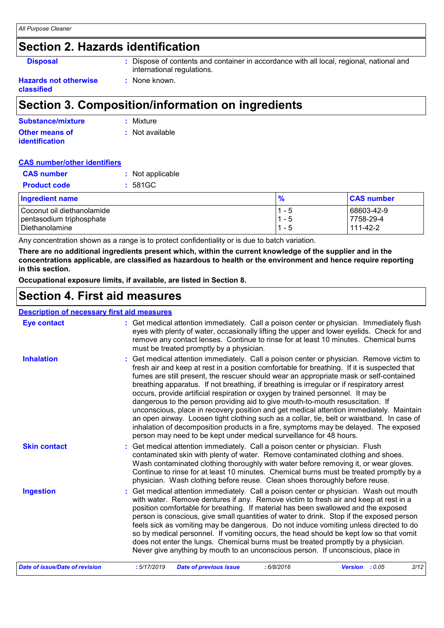### **Section 2. Hazards identification**

**Disposal :** Dispose of contents and container in accordance with all local, regional, national and international regulations.

#### **Hazards not otherwise classified**

### **Section 3. Composition/information on ingredients**

**:** None known.

| Substance/mixture     | : Mixture       |
|-----------------------|-----------------|
| <b>Other means of</b> | : Not available |
| <i>identification</i> |                 |

#### **CAS number/other identifiers**

| <b>CAS number</b>          | : Not applicable  |         |                   |
|----------------------------|-------------------|---------|-------------------|
| <b>Product code</b>        | $: 581 \text{GC}$ |         |                   |
| <b>Ingredient name</b>     |                   | %       | <b>CAS number</b> |
| Coconut oil diethanolamide |                   | $1 - 5$ | 68603-42-9        |
| pentasodium triphosphate   |                   | $1 - 5$ | 7758-29-4         |
| Diethanolamine             |                   | $1 - 5$ | 111-42-2          |

Any concentration shown as a range is to protect confidentiality or is due to batch variation.

**There are no additional ingredients present which, within the current knowledge of the supplier and in the concentrations applicable, are classified as hazardous to health or the environment and hence require reporting in this section.**

**Occupational exposure limits, if available, are listed in Section 8.**

### **Section 4. First aid measures**

#### **Description of necessary first aid measures**

| <b>Eye contact</b>             | : Get medical attention immediately. Call a poison center or physician. Immediately flush<br>eyes with plenty of water, occasionally lifting the upper and lower eyelids. Check for and<br>remove any contact lenses. Continue to rinse for at least 10 minutes. Chemical burns<br>must be treated promptly by a physician.                                                                                                                                                                                                                                                                                                                                                                                                                                                                                                                                                                                  |
|--------------------------------|--------------------------------------------------------------------------------------------------------------------------------------------------------------------------------------------------------------------------------------------------------------------------------------------------------------------------------------------------------------------------------------------------------------------------------------------------------------------------------------------------------------------------------------------------------------------------------------------------------------------------------------------------------------------------------------------------------------------------------------------------------------------------------------------------------------------------------------------------------------------------------------------------------------|
| <b>Inhalation</b>              | : Get medical attention immediately. Call a poison center or physician. Remove victim to<br>fresh air and keep at rest in a position comfortable for breathing. If it is suspected that<br>fumes are still present, the rescuer should wear an appropriate mask or self-contained<br>breathing apparatus. If not breathing, if breathing is irregular or if respiratory arrest<br>occurs, provide artificial respiration or oxygen by trained personnel. It may be<br>dangerous to the person providing aid to give mouth-to-mouth resuscitation. If<br>unconscious, place in recovery position and get medical attention immediately. Maintain<br>an open airway. Loosen tight clothing such as a collar, tie, belt or waistband. In case of<br>inhalation of decomposition products in a fire, symptoms may be delayed. The exposed<br>person may need to be kept under medical surveillance for 48 hours. |
| <b>Skin contact</b>            | : Get medical attention immediately. Call a poison center or physician. Flush<br>contaminated skin with plenty of water. Remove contaminated clothing and shoes.<br>Wash contaminated clothing thoroughly with water before removing it, or wear gloves.<br>Continue to rinse for at least 10 minutes. Chemical burns must be treated promptly by a<br>physician. Wash clothing before reuse. Clean shoes thoroughly before reuse.                                                                                                                                                                                                                                                                                                                                                                                                                                                                           |
| <b>Ingestion</b>               | : Get medical attention immediately. Call a poison center or physician. Wash out mouth<br>with water. Remove dentures if any. Remove victim to fresh air and keep at rest in a<br>position comfortable for breathing. If material has been swallowed and the exposed<br>person is conscious, give small quantities of water to drink. Stop if the exposed person<br>feels sick as vomiting may be dangerous. Do not induce vomiting unless directed to do<br>so by medical personnel. If vomiting occurs, the head should be kept low so that vomit<br>does not enter the lungs. Chemical burns must be treated promptly by a physician.<br>Never give anything by mouth to an unconscious person. If unconscious, place in                                                                                                                                                                                  |
| Date of issue/Date of revision | 2/12<br>: 5/17/2019<br>: 6/8/2016<br><b>Date of previous issue</b><br>Version : 0.05                                                                                                                                                                                                                                                                                                                                                                                                                                                                                                                                                                                                                                                                                                                                                                                                                         |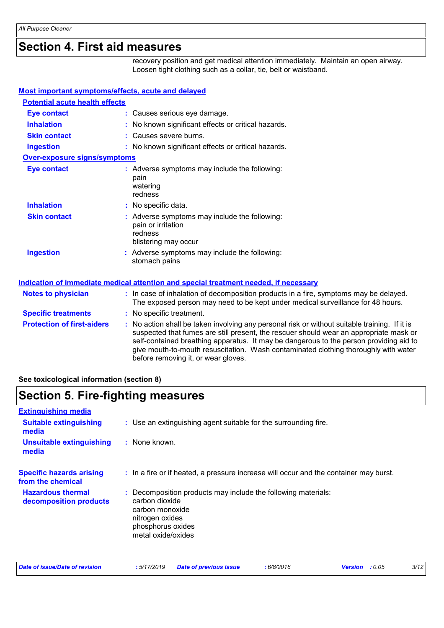### **Section 4. First aid measures**

recovery position and get medical attention immediately. Maintain an open airway. Loosen tight clothing such as a collar, tie, belt or waistband.

| Most important symptoms/effects, acute and delayed |                                                                                                                                                                                                                                                                                                                                                                                                                 |
|----------------------------------------------------|-----------------------------------------------------------------------------------------------------------------------------------------------------------------------------------------------------------------------------------------------------------------------------------------------------------------------------------------------------------------------------------------------------------------|
| <b>Potential acute health effects</b>              |                                                                                                                                                                                                                                                                                                                                                                                                                 |
| <b>Eye contact</b>                                 | : Causes serious eye damage.                                                                                                                                                                                                                                                                                                                                                                                    |
| <b>Inhalation</b>                                  | : No known significant effects or critical hazards.                                                                                                                                                                                                                                                                                                                                                             |
| <b>Skin contact</b>                                | : Causes severe burns.                                                                                                                                                                                                                                                                                                                                                                                          |
| <b>Ingestion</b>                                   | : No known significant effects or critical hazards.                                                                                                                                                                                                                                                                                                                                                             |
| <b>Over-exposure signs/symptoms</b>                |                                                                                                                                                                                                                                                                                                                                                                                                                 |
| <b>Eye contact</b>                                 | : Adverse symptoms may include the following:<br>pain<br>watering<br>redness                                                                                                                                                                                                                                                                                                                                    |
| <b>Inhalation</b>                                  | : No specific data.                                                                                                                                                                                                                                                                                                                                                                                             |
| <b>Skin contact</b>                                | : Adverse symptoms may include the following:<br>pain or irritation<br>redness<br>blistering may occur                                                                                                                                                                                                                                                                                                          |
| <b>Ingestion</b>                                   | : Adverse symptoms may include the following:<br>stomach pains                                                                                                                                                                                                                                                                                                                                                  |
|                                                    | <b>Indication of immediate medical attention and special treatment needed, if necessary</b>                                                                                                                                                                                                                                                                                                                     |
| <b>Notes to physician</b>                          | : In case of inhalation of decomposition products in a fire, symptoms may be delayed.<br>The exposed person may need to be kept under medical surveillance for 48 hours.                                                                                                                                                                                                                                        |
| <b>Specific treatments</b>                         | : No specific treatment.                                                                                                                                                                                                                                                                                                                                                                                        |
| <b>Protection of first-aiders</b>                  | : No action shall be taken involving any personal risk or without suitable training. If it is<br>suspected that fumes are still present, the rescuer should wear an appropriate mask or<br>self-contained breathing apparatus. It may be dangerous to the person providing aid to<br>give mouth-to-mouth resuscitation. Wash contaminated clothing thoroughly with water<br>before removing it, or wear gloves. |

**See toxicological information (section 8)**

### **Section 5. Fire-fighting measures**

| <b>Extinguishing media</b>                           |                                                                                                                                                                  |
|------------------------------------------------------|------------------------------------------------------------------------------------------------------------------------------------------------------------------|
| <b>Suitable extinguishing</b><br>media               | : Use an extinguishing agent suitable for the surrounding fire.                                                                                                  |
| <b>Unsuitable extinguishing</b><br>media             | : None known.                                                                                                                                                    |
| <b>Specific hazards arising</b><br>from the chemical | : In a fire or if heated, a pressure increase will occur and the container may burst.                                                                            |
| <b>Hazardous thermal</b><br>decomposition products   | : Decomposition products may include the following materials:<br>carbon dioxide<br>carbon monoxide<br>nitrogen oxides<br>phosphorus oxides<br>metal oxide/oxides |

| Date of issue/Date of revision |  | : 5/17/2019 Date of previous issue | .6/8/2016 | <b>Version</b> : 0.05 | 3/12 |
|--------------------------------|--|------------------------------------|-----------|-----------------------|------|
|--------------------------------|--|------------------------------------|-----------|-----------------------|------|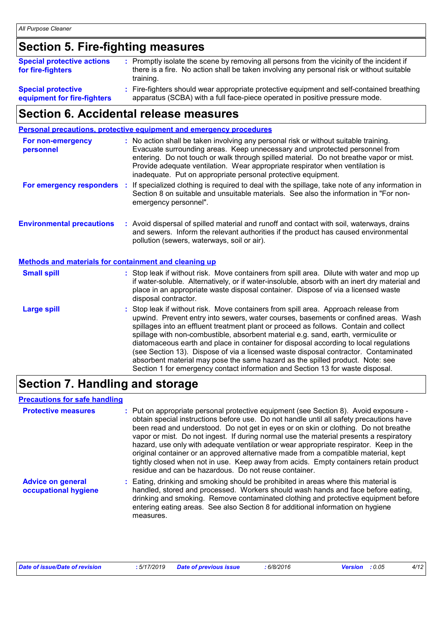### **Section 5. Fire-fighting measures**

| <b>Special protective actions</b><br>for fire-fighters   | : Promptly isolate the scene by removing all persons from the vicinity of the incident if<br>there is a fire. No action shall be taken involving any personal risk or without suitable<br>training. |
|----------------------------------------------------------|-----------------------------------------------------------------------------------------------------------------------------------------------------------------------------------------------------|
| <b>Special protective</b><br>equipment for fire-fighters | : Fire-fighters should wear appropriate protective equipment and self-contained breathing<br>apparatus (SCBA) with a full face-piece operated in positive pressure mode.                            |

### **equipment for fire-fighters**

### **Section 6. Accidental release measures**

|                                                              | <b>Personal precautions, protective equipment and emergency procedures</b>                                                                                                                                                                                                                                                                                                                                                                                                                                                                                                                                                                                                                                   |
|--------------------------------------------------------------|--------------------------------------------------------------------------------------------------------------------------------------------------------------------------------------------------------------------------------------------------------------------------------------------------------------------------------------------------------------------------------------------------------------------------------------------------------------------------------------------------------------------------------------------------------------------------------------------------------------------------------------------------------------------------------------------------------------|
| For non-emergency<br>personnel                               | : No action shall be taken involving any personal risk or without suitable training.<br>Evacuate surrounding areas. Keep unnecessary and unprotected personnel from<br>entering. Do not touch or walk through spilled material. Do not breathe vapor or mist.<br>Provide adequate ventilation. Wear appropriate respirator when ventilation is<br>inadequate. Put on appropriate personal protective equipment.                                                                                                                                                                                                                                                                                              |
|                                                              | For emergency responders : If specialized clothing is required to deal with the spillage, take note of any information in<br>Section 8 on suitable and unsuitable materials. See also the information in "For non-<br>emergency personnel".                                                                                                                                                                                                                                                                                                                                                                                                                                                                  |
| <b>Environmental precautions</b>                             | : Avoid dispersal of spilled material and runoff and contact with soil, waterways, drains<br>and sewers. Inform the relevant authorities if the product has caused environmental<br>pollution (sewers, waterways, soil or air).                                                                                                                                                                                                                                                                                                                                                                                                                                                                              |
| <b>Methods and materials for containment and cleaning up</b> |                                                                                                                                                                                                                                                                                                                                                                                                                                                                                                                                                                                                                                                                                                              |
| <b>Small spill</b>                                           | : Stop leak if without risk. Move containers from spill area. Dilute with water and mop up<br>if water-soluble. Alternatively, or if water-insoluble, absorb with an inert dry material and<br>place in an appropriate waste disposal container. Dispose of via a licensed waste<br>disposal contractor.                                                                                                                                                                                                                                                                                                                                                                                                     |
| <b>Large spill</b>                                           | : Stop leak if without risk. Move containers from spill area. Approach release from<br>upwind. Prevent entry into sewers, water courses, basements or confined areas. Wash<br>spillages into an effluent treatment plant or proceed as follows. Contain and collect<br>spillage with non-combustible, absorbent material e.g. sand, earth, vermiculite or<br>diatomaceous earth and place in container for disposal according to local regulations<br>(see Section 13). Dispose of via a licensed waste disposal contractor. Contaminated<br>absorbent material may pose the same hazard as the spilled product. Note: see<br>Section 1 for emergency contact information and Section 13 for waste disposal. |

### **Section 7. Handling and storage**

#### **Precautions for safe handling**

| <b>Protective measures</b>                       | : Put on appropriate personal protective equipment (see Section 8). Avoid exposure -<br>obtain special instructions before use. Do not handle until all safety precautions have<br>been read and understood. Do not get in eyes or on skin or clothing. Do not breathe<br>vapor or mist. Do not ingest. If during normal use the material presents a respiratory<br>hazard, use only with adequate ventilation or wear appropriate respirator. Keep in the<br>original container or an approved alternative made from a compatible material, kept<br>tightly closed when not in use. Keep away from acids. Empty containers retain product<br>residue and can be hazardous. Do not reuse container. |
|--------------------------------------------------|-----------------------------------------------------------------------------------------------------------------------------------------------------------------------------------------------------------------------------------------------------------------------------------------------------------------------------------------------------------------------------------------------------------------------------------------------------------------------------------------------------------------------------------------------------------------------------------------------------------------------------------------------------------------------------------------------------|
| <b>Advice on general</b><br>occupational hygiene | : Eating, drinking and smoking should be prohibited in areas where this material is<br>handled, stored and processed. Workers should wash hands and face before eating,<br>drinking and smoking. Remove contaminated clothing and protective equipment before<br>entering eating areas. See also Section 8 for additional information on hygiene<br>measures.                                                                                                                                                                                                                                                                                                                                       |

| Date of issue/Date of revision | : 5/17/2019 Date of previous issue | : 6/8/2016 | <b>Version</b> : 0.05 | 4/12 |
|--------------------------------|------------------------------------|------------|-----------------------|------|
|                                |                                    |            |                       |      |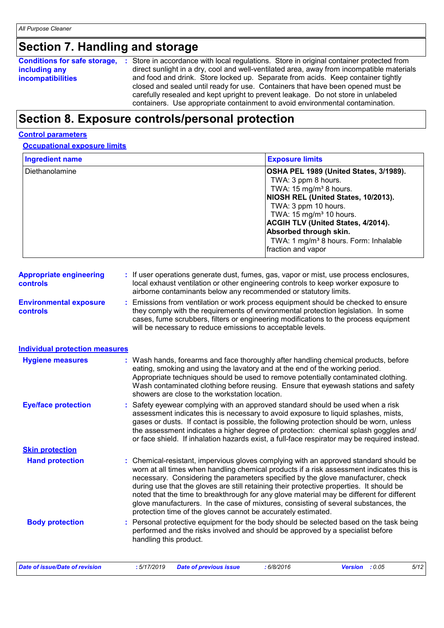### **Section 7. Handling and storage**

| <b>Conditions for safe storage,</b> | Store in accordance with local regulations. Store in original container protected from<br><b>P</b> |
|-------------------------------------|----------------------------------------------------------------------------------------------------|
| including any                       | direct sunlight in a dry, cool and well-ventilated area, away from incompatible materials          |
| <b>incompatibilities</b>            | and food and drink. Store locked up. Separate from acids. Keep container tightly                   |
|                                     | closed and sealed until ready for use. Containers that have been opened must be                    |
|                                     | carefully resealed and kept upright to prevent leakage. Do not store in unlabeled                  |
|                                     | containers. Use appropriate containment to avoid environmental contamination.                      |

### **Section 8. Exposure controls/personal protection**

### **Control parameters**

#### **Occupational exposure limits**

| <b>Ingredient name</b>                           | <b>Exposure limits</b>                                                                                                                                                                                                                                                                                                                                                                                                                                                                                                                                                                                                 |
|--------------------------------------------------|------------------------------------------------------------------------------------------------------------------------------------------------------------------------------------------------------------------------------------------------------------------------------------------------------------------------------------------------------------------------------------------------------------------------------------------------------------------------------------------------------------------------------------------------------------------------------------------------------------------------|
| Diethanolamine                                   | OSHA PEL 1989 (United States, 3/1989).<br>TWA: 3 ppm 8 hours.<br>TWA: 15 mg/m <sup>3</sup> 8 hours.<br>NIOSH REL (United States, 10/2013).<br>TWA: 3 ppm 10 hours.<br>TWA: $15 \text{ mg/m}^3$ 10 hours.<br>ACGIH TLV (United States, 4/2014).<br>Absorbed through skin.<br>TWA: 1 mg/m <sup>3</sup> 8 hours. Form: Inhalable<br>fraction and vapor                                                                                                                                                                                                                                                                    |
| <b>Appropriate engineering</b><br>controls       | : If user operations generate dust, fumes, gas, vapor or mist, use process enclosures,<br>local exhaust ventilation or other engineering controls to keep worker exposure to<br>airborne contaminants below any recommended or statutory limits.                                                                                                                                                                                                                                                                                                                                                                       |
| <b>Environmental exposure</b><br><b>controls</b> | Emissions from ventilation or work process equipment should be checked to ensure<br>they comply with the requirements of environmental protection legislation. In some<br>cases, fume scrubbers, filters or engineering modifications to the process equipment<br>will be necessary to reduce emissions to acceptable levels.                                                                                                                                                                                                                                                                                          |
| <b>Individual protection measures</b>            |                                                                                                                                                                                                                                                                                                                                                                                                                                                                                                                                                                                                                        |
| <b>Hygiene measures</b>                          | Wash hands, forearms and face thoroughly after handling chemical products, before<br>eating, smoking and using the lavatory and at the end of the working period.<br>Appropriate techniques should be used to remove potentially contaminated clothing.<br>Wash contaminated clothing before reusing. Ensure that eyewash stations and safety<br>showers are close to the workstation location.                                                                                                                                                                                                                        |
| <b>Eye/face protection</b>                       | Safety eyewear complying with an approved standard should be used when a risk<br>assessment indicates this is necessary to avoid exposure to liquid splashes, mists,<br>gases or dusts. If contact is possible, the following protection should be worn, unless<br>the assessment indicates a higher degree of protection: chemical splash goggles and/<br>or face shield. If inhalation hazards exist, a full-face respirator may be required instead.                                                                                                                                                                |
| <b>Skin protection</b>                           |                                                                                                                                                                                                                                                                                                                                                                                                                                                                                                                                                                                                                        |
| <b>Hand protection</b>                           | : Chemical-resistant, impervious gloves complying with an approved standard should be<br>worn at all times when handling chemical products if a risk assessment indicates this is<br>necessary. Considering the parameters specified by the glove manufacturer, check<br>during use that the gloves are still retaining their protective properties. It should be<br>noted that the time to breakthrough for any glove material may be different for different<br>glove manufacturers. In the case of mixtures, consisting of several substances, the<br>protection time of the gloves cannot be accurately estimated. |
| <b>Body protection</b>                           | Personal protective equipment for the body should be selected based on the task being<br>performed and the risks involved and should be approved by a specialist before<br>handling this product.                                                                                                                                                                                                                                                                                                                                                                                                                      |
| <b>Date of issue/Date of revision</b>            | :6/8/2016<br>Version : 0.05<br>5/12<br>:5/17/2019<br><b>Date of previous issue</b>                                                                                                                                                                                                                                                                                                                                                                                                                                                                                                                                     |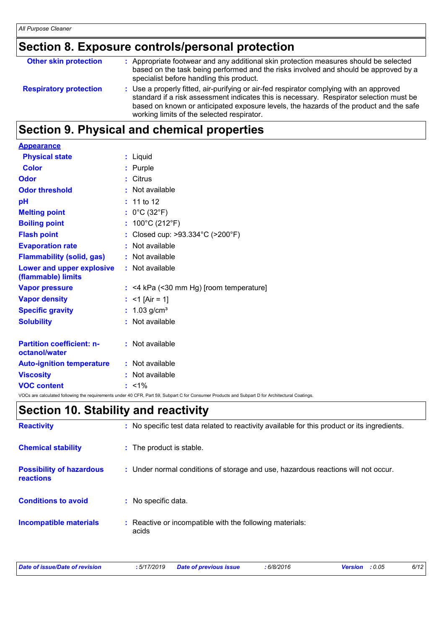### **Section 8. Exposure controls/personal protection**

| <b>Other skin protection</b>  | : Appropriate footwear and any additional skin protection measures should be selected<br>based on the task being performed and the risks involved and should be approved by a<br>specialist before handling this product.                                                                                                  |
|-------------------------------|----------------------------------------------------------------------------------------------------------------------------------------------------------------------------------------------------------------------------------------------------------------------------------------------------------------------------|
| <b>Respiratory protection</b> | : Use a properly fitted, air-purifying or air-fed respirator complying with an approved<br>standard if a risk assessment indicates this is necessary. Respirator selection must be<br>based on known or anticipated exposure levels, the hazards of the product and the safe<br>working limits of the selected respirator. |

### **Section 9. Physical and chemical properties**

| <b>Appearance</b>                                 |                                                                                                                                                |
|---------------------------------------------------|------------------------------------------------------------------------------------------------------------------------------------------------|
| <b>Physical state</b>                             | : Liquid                                                                                                                                       |
| <b>Color</b>                                      | : Purple                                                                                                                                       |
| Odor                                              | Citrus                                                                                                                                         |
| <b>Odor threshold</b>                             | : Not available                                                                                                                                |
| pH                                                | $: 11$ to 12                                                                                                                                   |
| <b>Melting point</b>                              | : $0^{\circ}$ C (32 $^{\circ}$ F)                                                                                                              |
| <b>Boiling point</b>                              | : $100^{\circ}$ C (212 $^{\circ}$ F)                                                                                                           |
| <b>Flash point</b>                                | Closed cup: >93.334°C (>200°F)                                                                                                                 |
| <b>Evaporation rate</b>                           | : Not available                                                                                                                                |
| <b>Flammability (solid, gas)</b>                  | : Not available                                                                                                                                |
| Lower and upper explosive<br>(flammable) limits   | : Not available                                                                                                                                |
| <b>Vapor pressure</b>                             | $:$ <4 kPa (<30 mm Hg) [room temperature]                                                                                                      |
| <b>Vapor density</b>                              | : <1 [Air = 1]                                                                                                                                 |
| <b>Specific gravity</b>                           | : $1.03$ g/cm <sup>3</sup>                                                                                                                     |
| <b>Solubility</b>                                 | : Not available                                                                                                                                |
| <b>Partition coefficient: n-</b><br>octanol/water | : Not available                                                                                                                                |
| <b>Auto-ignition temperature</b>                  | : Not available                                                                                                                                |
| <b>Viscosity</b>                                  | : Not available                                                                                                                                |
| <b>VOC content</b>                                | $: 1\%$                                                                                                                                        |
|                                                   | VOCs are calculated following the requirements under 40 CFR, Part 59, Subpart C for Consumer Products and Subpart D for Architectural Coatings |

### **Section 10. Stability and reactivity**

| <b>Reactivity</b>                                   | : No specific test data related to reactivity available for this product or its ingredients. |
|-----------------------------------------------------|----------------------------------------------------------------------------------------------|
| <b>Chemical stability</b>                           | : The product is stable.                                                                     |
| <b>Possibility of hazardous</b><br><b>reactions</b> | : Under normal conditions of storage and use, hazardous reactions will not occur.            |
| <b>Conditions to avoid</b>                          | : No specific data.                                                                          |
| <b>Incompatible materials</b>                       | : Reactive or incompatible with the following materials:<br>acids                            |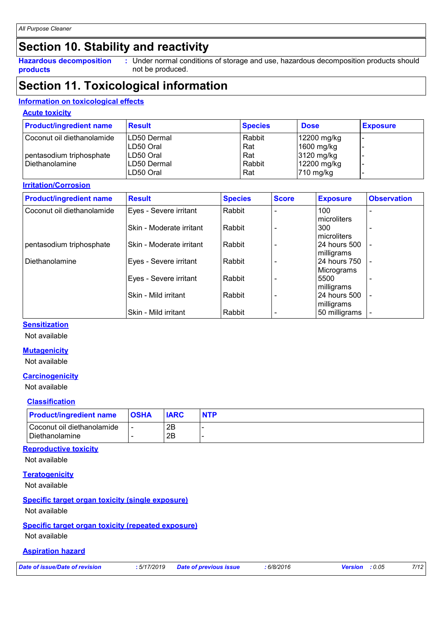### **Section 10. Stability and reactivity**

**Hazardous decomposition products**

Under normal conditions of storage and use, hazardous decomposition products should **:** not be produced.

### **Section 11. Toxicological information**

#### **Information on toxicological effects**

#### **Acute toxicity**

| <b>Product/ingredient name</b> | <b>Result</b> | <b>Species</b> | <b>Dose</b> | <b>Exposure</b> |
|--------------------------------|---------------|----------------|-------------|-----------------|
| Coconut oil diethanolamide     | ILD50 Dermal  | Rabbit         | 12200 mg/kg |                 |
|                                | LD50 Oral     | Rat            | 1600 mg/kg  |                 |
| pentasodium triphosphate       | LD50 Oral     | Rat            | 3120 mg/kg  |                 |
| Diethanolamine                 | ILD50 Dermal  | Rabbit         | 12200 mg/kg |                 |
|                                | LD50 Oral     | Rat            | $710$ mg/kg |                 |

#### **Irritation/Corrosion**

| <b>Product/ingredient name</b> | <b>Result</b>              | <b>Species</b> | <b>Score</b> | <b>Exposure</b>             | <b>Observation</b> |
|--------------------------------|----------------------------|----------------|--------------|-----------------------------|--------------------|
| Coconut oil diethanolamide     | Eyes - Severe irritant     | Rabbit         |              | 100<br>microliters          | ۰                  |
|                                | Skin - Moderate irritant   | Rabbit         |              | 300<br>microliters          |                    |
| pentasodium triphosphate       | l Skin - Moderate irritant | Rabbit         |              | 24 hours 500<br>milligrams  |                    |
| Diethanolamine                 | Eyes - Severe irritant     | Rabbit         |              | 24 hours 750<br>Micrograms  | $\blacksquare$     |
|                                | Eyes - Severe irritant     | Rabbit         |              | 5500<br>milligrams          |                    |
|                                | Skin - Mild irritant       | Rabbit         |              | 24 hours 500                |                    |
|                                | Skin - Mild irritant       | Rabbit         |              | milligrams<br>50 milligrams |                    |

#### **Sensitization**

Not available

#### **Mutagenicity**

Not available

#### **Carcinogenicity**

Not available

#### **Classification**

| <b>Product/ingredient name</b>                   | <b>OSHA</b>    | <b>IARC</b> | <b>NTP</b> |
|--------------------------------------------------|----------------|-------------|------------|
| l Coconut oil diethanolamide<br>l Diethanolamine | $\blacksquare$ | 2B<br>2Β    |            |

#### **Reproductive toxicity**

Not available

#### **Teratogenicity**

Not available

#### **Specific target organ toxicity (single exposure)**

Not available

#### **Specific target organ toxicity (repeated exposure)**

Not available

#### **Aspiration hazard**

*Date of issue/Date of revision* **:** *5/17/2019 Date of previous issue : 6/8/2016 Version : 0.05 7/12*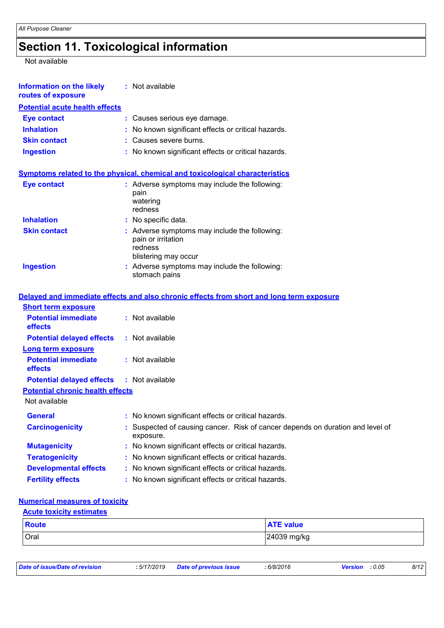## **Section 11. Toxicological information**

Not available

| <b>Information on the likely</b><br>routes of exposure             | : Not available                                                                                        |
|--------------------------------------------------------------------|--------------------------------------------------------------------------------------------------------|
| <b>Potential acute health effects</b>                              |                                                                                                        |
| <b>Eye contact</b>                                                 | : Causes serious eye damage.                                                                           |
| <b>Inhalation</b>                                                  | No known significant effects or critical hazards.                                                      |
| <b>Skin contact</b>                                                | : Causes severe burns.                                                                                 |
| <b>Ingestion</b>                                                   | : No known significant effects or critical hazards.                                                    |
|                                                                    | <b>Symptoms related to the physical, chemical and toxicological characteristics</b>                    |
| <b>Eye contact</b>                                                 | : Adverse symptoms may include the following:<br>pain<br>watering<br>redness                           |
| <b>Inhalation</b>                                                  | : No specific data.                                                                                    |
| <b>Skin contact</b>                                                | : Adverse symptoms may include the following:<br>pain or irritation<br>redness<br>blistering may occur |
| <b>Ingestion</b>                                                   | : Adverse symptoms may include the following:<br>stomach pains                                         |
|                                                                    | Delayed and immediate effects and also chronic effects from short and long term exposure               |
| <b>Short term exposure</b>                                         |                                                                                                        |
| <b>Potential immediate</b><br>effects                              | : Not available                                                                                        |
| <b>Potential delayed effects</b>                                   | : Not available                                                                                        |
| <b>Long term exposure</b><br><b>Potential immediate</b><br>effects | : Not available                                                                                        |
| <b>Potential delayed effects</b>                                   | : Not available                                                                                        |
| <b>Potential chronic health effects</b>                            |                                                                                                        |
| Not available                                                      |                                                                                                        |
| <b>General</b>                                                     | : No known significant effects or critical hazards.                                                    |
| <b>Carcinogenicity</b>                                             | Suspected of causing cancer. Risk of cancer depends on duration and level of<br>exposure.              |
| <b>Mutagenicity</b>                                                | : No known significant effects or critical hazards.                                                    |
| <b>Teratogenicity</b>                                              | No known significant effects or critical hazards.                                                      |
| <b>Developmental effects</b>                                       | No known significant effects or critical hazards.                                                      |
| <b>Fertility effects</b>                                           | No known significant effects or critical hazards.                                                      |

#### **Numerical measures of toxicity**

| <b>Acute toxicity estimates</b> |                  |
|---------------------------------|------------------|
| <b>Route</b>                    | <b>ATE</b> value |
| Oral                            | 24039 mg/kg      |

| Date of issue/Date of revision | : 5/17/2019 | <b>Date of previous issue</b> | 6/8/2016 | : 0.05<br>Version | 8/12 |
|--------------------------------|-------------|-------------------------------|----------|-------------------|------|
|                                |             |                               |          |                   |      |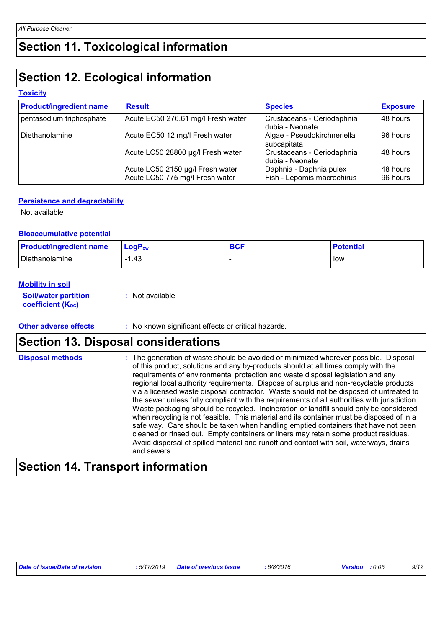### **Section 11. Toxicological information**

### **Section 12. Ecological information**

#### **Toxicity**

| <b>Product/ingredient name</b> | <b>Result</b>                                                       | <b>Species</b>                                        | <b>Exposure</b>      |
|--------------------------------|---------------------------------------------------------------------|-------------------------------------------------------|----------------------|
| pentasodium triphosphate       | Acute EC50 276.61 mg/l Fresh water                                  | Crustaceans - Ceriodaphnia<br>I dubia - Neonate       | 48 hours             |
| Diethanolamine                 | Acute EC50 12 mg/l Fresh water                                      | Algae - Pseudokirchneriella<br>subcapitata            | 96 hours             |
|                                | Acute LC50 28800 µg/l Fresh water                                   | Crustaceans - Ceriodaphnia<br>Idubia - Neonate        | l 48 hours           |
|                                | Acute LC50 2150 µg/l Fresh water<br>Acute LC50 775 mg/l Fresh water | Daphnia - Daphnia pulex<br>Fish - Lepomis macrochirus | 48 hours<br>96 hours |

#### **Persistence and degradability**

Not available

#### **Bioaccumulative potential**

| <b>Product/ingredient name</b> | $\mathsf{LogP}_\mathsf{ow}$ | <b>BCF</b> | <b>Potential</b> |
|--------------------------------|-----------------------------|------------|------------------|
| Diethanolamine                 | 1.43                        |            | low              |

#### **Mobility in soil**

| <b>Soil/water partition</b> | : Not available |
|-----------------------------|-----------------|
| <b>coefficient (Koc)</b>    |                 |

#### **Other adverse effects** : No known significant effects or critical hazards.

### **Section 13. Disposal considerations**

| <b>Disposal methods</b> | : The generation of waste should be avoided or minimized wherever possible. Disposal<br>of this product, solutions and any by-products should at all times comply with the<br>requirements of environmental protection and waste disposal legislation and any<br>regional local authority requirements. Dispose of surplus and non-recyclable products<br>via a licensed waste disposal contractor. Waste should not be disposed of untreated to<br>the sewer unless fully compliant with the requirements of all authorities with jurisdiction.<br>Waste packaging should be recycled. Incineration or landfill should only be considered<br>when recycling is not feasible. This material and its container must be disposed of in a<br>safe way. Care should be taken when handling emptied containers that have not been<br>cleaned or rinsed out. Empty containers or liners may retain some product residues. |
|-------------------------|---------------------------------------------------------------------------------------------------------------------------------------------------------------------------------------------------------------------------------------------------------------------------------------------------------------------------------------------------------------------------------------------------------------------------------------------------------------------------------------------------------------------------------------------------------------------------------------------------------------------------------------------------------------------------------------------------------------------------------------------------------------------------------------------------------------------------------------------------------------------------------------------------------------------|
|                         | Avoid dispersal of spilled material and runoff and contact with soil, waterways, drains<br>and sewers.                                                                                                                                                                                                                                                                                                                                                                                                                                                                                                                                                                                                                                                                                                                                                                                                              |

### **Section 14. Transport information**

| Date of issue/Date of revision | : 5/17/2019 | <b>Date of previous issue</b> | 6/8/2016 | <b>Version</b> : $0.05$ | 9/12 |
|--------------------------------|-------------|-------------------------------|----------|-------------------------|------|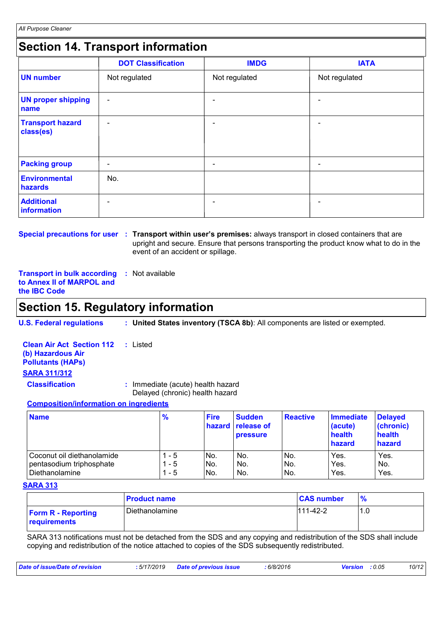### **Section 14. Transport information**

|                                      | <b>DOT Classification</b> | <b>IMDG</b>              | <b>IATA</b>   |
|--------------------------------------|---------------------------|--------------------------|---------------|
| <b>UN number</b>                     | Not regulated             | Not regulated            | Not regulated |
| <b>UN proper shipping</b><br>name    | $\blacksquare$            | $\blacksquare$           | -             |
| <b>Transport hazard</b><br>class(es) | ۰                         | $\overline{\phantom{0}}$ | ۰             |
| <b>Packing group</b>                 | ۰                         | -                        | ٠             |
| Environmental<br>hazards             | No.                       |                          |               |
| <b>Additional</b><br>information     | $\overline{\phantom{a}}$  |                          | ۰             |

**Special precautions for user Transport within user's premises:** always transport in closed containers that are **:** upright and secure. Ensure that persons transporting the product know what to do in the event of an accident or spillage.

**Transport in bulk according :** Not available **to Annex II of MARPOL and the IBC Code**

### **Section 15. Regulatory information**

**U.S. Federal regulations : United States inventory (TSCA 8b)**: All components are listed or exempted.

| <b>Clean Air Act Section 112</b> : Listed |                                                                      |
|-------------------------------------------|----------------------------------------------------------------------|
| (b) Hazardous Air                         |                                                                      |
| <b>Pollutants (HAPS)</b>                  |                                                                      |
| <b>SARA 311/312</b>                       |                                                                      |
| <b>Classification</b>                     | : Immediate (acute) health hazard<br>Delayed (chronic) health hazard |

#### **Composition/information on ingredients**

| <b>Name</b>                | $\frac{9}{6}$ | <b>Fire</b> | <b>Sudden</b><br>hazard release of<br><b>pressure</b> | <b>Reactive</b> | <b>Immediate</b><br>(acute)<br>health<br>hazard | <b>Delayed</b><br>(chronic)<br>health<br>hazard |
|----------------------------|---------------|-------------|-------------------------------------------------------|-----------------|-------------------------------------------------|-------------------------------------------------|
| Coconut oil diethanolamide | - 5           | No.         | No.                                                   | No.             | Yes.                                            | Yes.                                            |
| pentasodium triphosphate   | 1 - 5         | No.         | No.                                                   | INo.            | Yes.                                            | No.                                             |
| Diethanolamine             | - 5           | No.         | No.                                                   | No.             | Yes.                                            | Yes.                                            |

#### **SARA 313**

|                                           | <b>Product name</b> | <b>CAS number</b> |     |
|-------------------------------------------|---------------------|-------------------|-----|
| <b>Form R - Reporting</b><br>requirements | Diethanolamine      | $111 - 42 - 2$    | 1.0 |

SARA 313 notifications must not be detached from the SDS and any copying and redistribution of the SDS shall include copying and redistribution of the notice attached to copies of the SDS subsequently redistributed.

| Date of issue/Date of revision | : 5/17/2019 Date of previous issue | : 6/8/2016 | <b>Version</b> : 0.05 | 10/12 |
|--------------------------------|------------------------------------|------------|-----------------------|-------|
|                                |                                    |            |                       |       |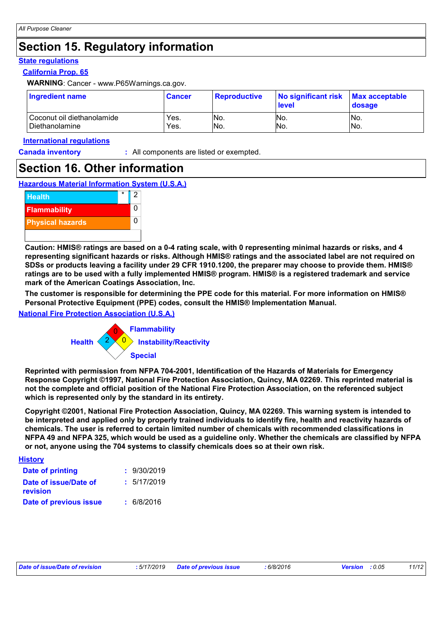### **Section 15. Regulatory information**

#### **State regulations**

#### **California Prop. 65**

**WARNING**: Cancer - www.P65Warnings.ca.gov.

| Ingredient name              | <b>Cancer</b> | <u>I Reproductive</u> | No significant risk<br><b>level</b> | <b>Max acceptable</b><br>dosage |
|------------------------------|---------------|-----------------------|-------------------------------------|---------------------------------|
| l Coconut oil diethanolamide | Yes.          | INo.                  | No.                                 | No.                             |
| l Diethanolamine             | Yes.          | No.                   | No.                                 | No.                             |

#### **International regulations**

**Canada inventory :** All components are listed or exempted.

### **Section 16. Other information**

#### **Hazardous Material Information System (U.S.A.)**



**Caution: HMIS® ratings are based on a 0-4 rating scale, with 0 representing minimal hazards or risks, and 4 representing significant hazards or risks. Although HMIS® ratings and the associated label are not required on SDSs or products leaving a facility under 29 CFR 1910.1200, the preparer may choose to provide them. HMIS® ratings are to be used with a fully implemented HMIS® program. HMIS® is a registered trademark and service mark of the American Coatings Association, Inc.**

**The customer is responsible for determining the PPE code for this material. For more information on HMIS® Personal Protective Equipment (PPE) codes, consult the HMIS® Implementation Manual.**

#### **National Fire Protection Association (U.S.A.)**



**Reprinted with permission from NFPA 704-2001, Identification of the Hazards of Materials for Emergency Response Copyright ©1997, National Fire Protection Association, Quincy, MA 02269. This reprinted material is not the complete and official position of the National Fire Protection Association, on the referenced subject which is represented only by the standard in its entirety.**

**Copyright ©2001, National Fire Protection Association, Quincy, MA 02269. This warning system is intended to be interpreted and applied only by properly trained individuals to identify fire, health and reactivity hazards of chemicals. The user is referred to certain limited number of chemicals with recommended classifications in NFPA 49 and NFPA 325, which would be used as a guideline only. Whether the chemicals are classified by NFPA or not, anyone using the 704 systems to classify chemicals does so at their own risk.**

| <b>History</b>                    |             |
|-----------------------------------|-------------|
| <b>Date of printing</b>           | : 9/30/2019 |
| Date of issue/Date of<br>revision | : 5/17/2019 |
| Date of previous issue            | : 6/8/2016  |

|  | Date of issue/Date of revision |  |  |
|--|--------------------------------|--|--|
|--|--------------------------------|--|--|